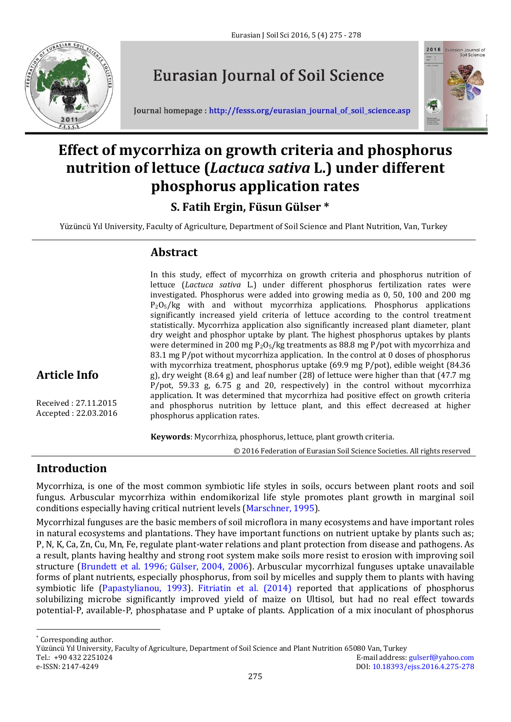

# **Eurasian Journal of Soil Science**





## **Effect of mycorrhiza on growth criteria and phosphorus nutrition of lettuce (***Lactuca sativa* **L.) under different phosphorus application rates**

## **S. Fatih Ergin, Füsun Gülser \***

Yüzüncü Yıl University, Faculty of Agriculture, Department of Soil Science and Plant Nutrition, Van, Turkey

### **Abstract**

In this study, effect of mycorrhiza on growth criteria and phosphorus nutrition of lettuce (*Lactuca sativa* L.) under different phosphorus fertilization rates were investigated. Phosphorus were added into growing media as 0, 50, 100 and 200 mg  $P_2O_5/kg$  with and without mycorrhiza applications. Phosphorus applications significantly increased yield criteria of lettuce according to the control treatment statistically. Mycorrhiza application also significantly increased plant diameter, plant dry weight and phosphor uptake by plant. The highest phosphorus uptakes by plants were determined in 200 mg  $P_2O_5/kg$  treatments as 88.8 mg P/pot with mycorrhiza and 83.1 mg P/pot without mycorrhiza application. In the control at 0 doses of phosphorus with mycorrhiza treatment, phosphorus uptake (69.9 mg P/pot), edible weight (84.36 g), dry weight (8.64 g) and leaf number (28) of lettuce were higher than that (47.7 mg P/pot, 59.33 g, 6.75 g and 20, respectively) in the control without mycorrhiza application. It was determined that mycorrhiza had positive effect on growth criteria and phosphorus nutrition by lettuce plant, and this effect decreased at higher phosphorus application rates.

**Keywords**: Mycorrhiza, phosphorus, lettuce, plant growth criteria.

© 2016 Federation of Eurasian Soil Science Societies. All rights reserved

## **Introduction**

**Article Info**

Received : 27.11.2015 Accepted : 22.03.2016

Mycorrhiza, is one of the most common symbiotic life styles in soils, occurs between plant roots and soil fungus. Arbuscular mycorrhiza within endomikorizal life style promotes plant growth in marginal soil conditions especially having critical nutrient levels (Marschner, 1995).

Mycorrhizal funguses are the basic members of soil microflora in many ecosystems and have important roles in natural ecosystems and plantations. They have important functions on nutrient uptake by plants such as; P, N, K, Ca, Zn, Cu, Mn, Fe, regulate plant-water relations and plant protection from disease and pathogens. As a result, plants having healthy and strong root system make soils more resist to erosion with improving soil structure (Brundett et al. 1996; Gülser, 2004, 2006). Arbuscular mycorrhizal funguses uptake unavailable forms of plant nutrients, especially phosphorus, from soil by micelles and supply them to plants with having symbiotic life (Papastylianou, 1993). Fitriatin et al. (2014) reported that applications of phosphorus solubilizing microbe significantly improved yield of maize on Ultisol, but had no real effect towards potential-P, available-P, phosphatase and P uptake of plants. Application of a mix inoculant of phosphorus

 $\overline{a}$ 

<sup>\*</sup> Corresponding author.

Yüzüncü Yıl University, Faculty of Agriculture, Department of Soil Science and Plant Nutrition 65080 Van, Turkey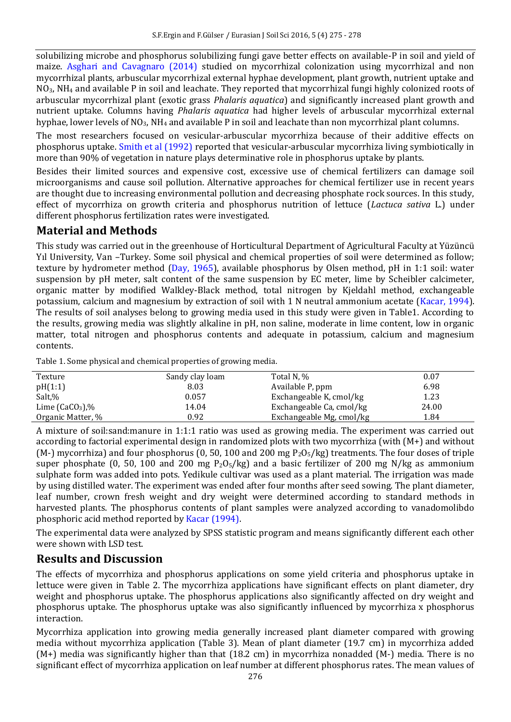solubilizing microbe and phosphorus solubilizing fungi gave better effects on available-P in soil and yield of maize. Asghari and Cavagnaro (2014) studied on mycorrhizal colonization using mycorrhizal and non mycorrhizal plants, arbuscular mycorrhizal external hyphae development, plant growth, nutrient uptake and NO3, NH<sup>4</sup> and available P in soil and leachate. They reported that mycorrhizal fungi highly colonized roots of arbuscular mycorrhizal plant (exotic grass *Phalaris aquatica*) and significantly increased plant growth and nutrient uptake. Columns having *Phalaris aquatica* had higher levels of arbuscular mycorrhizal external hyphae, lower levels of  $NO<sub>3</sub>$ , NH<sub>4</sub> and available P in soil and leachate than non mycorrhizal plant columns.

The most researchers focused on vesicular-arbuscular mycorrhiza because of their additive effects on phosphorus uptake. Smith et al (1992) reported that vesicular-arbuscular mycorrhiza living symbiotically in more than 90% of vegetation in nature plays determinative role in phosphorus uptake by plants.

Besides their limited sources and expensive cost, excessive use of chemical fertilizers can damage soil microorganisms and cause soil pollution. Alternative approaches for chemical fertilizer use in recent years are thought due to increasing environmental pollution and decreasing phosphate rock sources. In this study, effect of mycorrhiza on growth criteria and phosphorus nutrition of lettuce (*Lactuca sativa* L.) under different phosphorus fertilization rates were investigated.

#### **Material and Methods**

This study was carried out in the greenhouse of Horticultural Department of Agricultural Faculty at Yüzüncü Yıl University, Van –Turkey. Some soil physical and chemical properties of soil were determined as follow; texture by hydrometer method (Day, 1965), available phosphorus by Olsen method, pH in 1:1 soil: water suspension by pH meter, salt content of the same suspension by EC meter, lime by Scheibler calcimeter, organic matter by modified Walkley-Black method, total nitrogen by Kjeldahl method, exchangeable potassium, calcium and magnesium by extraction of soil with 1 N neutral ammonium acetate (Kacar, 1994). The results of soil analyses belong to growing media used in this study were given in Table1. According to the results, growing media was slightly alkaline in pH, non saline, moderate in lime content, low in organic matter, total nitrogen and phosphorus contents and adequate in potassium, calcium and magnesium contents.

Table 1. Some physical and chemical properties of growing media.

| Texture           | Sandy clay loam | Total N, %               | 0.07  |
|-------------------|-----------------|--------------------------|-------|
| pH(1:1)           | 8.03            | Available P, ppm         | 6.98  |
| Salt,%            | 0.057           | Exchangeable K, cmol/kg  | 1.23  |
| Lime $(CaCO3)$ ,% | 14.04           | Exchangeable Ca, cmol/kg | 24.00 |
| Organic Matter, % | 0.92            | Exchangeable Mg, cmol/kg | 1.84  |

A mixture of soil:sand:manure in 1:1:1 ratio was used as growing media. The experiment was carried out according to factorial experimental design in randomized plots with two mycorrhiza (with (M+) and without (M-) mycorrhiza) and four phosphorus (0, 50, 100 and 200 mg  $P_2O_5/kg$ ) treatments. The four doses of triple super phosphate (0, 50, 100 and 200 mg  $P_2O_5/kg$ ) and a basic fertilizer of 200 mg N/kg as ammonium sulphate form was added into pots. Yedikule cultivar was used as a plant material. The irrigation was made by using distilled water. The experiment was ended after four months after seed sowing. The plant diameter, leaf number, crown fresh weight and dry weight were determined according to standard methods in harvested plants. The phosphorus contents of plant samples were analyzed according to vanadomolibdo phosphoric acid method reported by Kacar (1994).

The experimental data were analyzed by SPSS statistic program and means significantly different each other were shown with LSD test.

#### **Results and Discussion**

The effects of mycorrhiza and phosphorus applications on some yield criteria and phosphorus uptake in lettuce were given in Table 2. The mycorrhiza applications have significant effects on plant diameter, dry weight and phosphorus uptake. The phosphorus applications also significantly affected on dry weight and phosphorus uptake. The phosphorus uptake was also significantly influenced by mycorrhiza x phosphorus interaction.

Mycorrhiza application into growing media generally increased plant diameter compared with growing media without mycorrhiza application (Table 3). Mean of plant diameter (19.7 cm) in mycorrhiza added (M+) media was significantly higher than that (18.2 cm) in mycorrhiza nonadded (M-) media. There is no significant effect of mycorrhiza application on leaf number at different phosphorus rates. The mean values of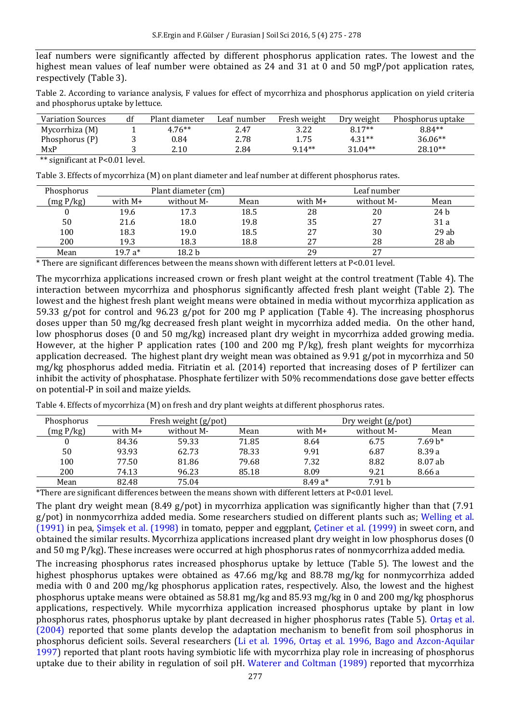leaf numbers were significantly affected by different phosphorus application rates. The lowest and the highest mean values of leaf number were obtained as 24 and 31 at 0 and 50 mgP/pot application rates, respectively (Table 3).

Table 2. According to variance analysis, F values for effect of mycorrhiza and phosphorus application on yield criteria and phosphorus uptake by lettuce.

| <b>Variation Sources</b> | df | Plant diameter | Leaf number | Fresh weight | Dry weight | Phosphorus uptake |
|--------------------------|----|----------------|-------------|--------------|------------|-------------------|
| Mycorrhiza (M)           |    | $4.76**$       | 2.47        | 3.22         | $8.17**$   | $8.84**$          |
| Phosphorus (P)           |    | 0.84           | 2.78        | 1.75         | $4.31**$   | $36.06**$         |
| MXP                      |    | 2.10           | 2.84        | $914**$      | $31.04**$  | $28.10**$         |
| ________                 |    |                |             |              |            |                   |

\*\* significant at P<0.01 level.

Table 3. Effects of mycorrhiza (M) on plant diameter and leaf number at different phosphorus rates.

| Phosphorus | Plant diameter (cm) |                   |      | Leaf number |            |      |
|------------|---------------------|-------------------|------|-------------|------------|------|
| (mg P/kg)  | with $M+$           | without M-        | Mean | with $M+$   | without M- | Mean |
|            | 19.6                | 17.3              | 18.5 | 28          | 20         | 24 b |
| 50         | 21.6                | 18.0              | 19.8 | 35          | 27         | 31 a |
| 100        | 18.3                | 19.0              | 18.5 | 27          | 30         | 29ab |
| 200        | 19.3                | 18.3              | 18.8 | 27          | 28         | 28ab |
| Mean       | $19.7 a*$           | 18.2 <sub>b</sub> |      | 29          | 27         |      |

\* There are significant differences between the means shown with different letters at P<0.01 level.

The mycorrhiza applications increased crown or fresh plant weight at the control treatment (Table 4). The interaction between mycorrhiza and phosphorus significantly affected fresh plant weight (Table 2). The lowest and the highest fresh plant weight means were obtained in media without mycorrhiza application as 59.33 g/pot for control and 96.23 g/pot for 200 mg P application (Table 4). The increasing phosphorus doses upper than 50 mg/kg decreased fresh plant weight in mycorrhiza added media. On the other hand, low phosphorus doses (0 and 50 mg/kg) increased plant dry weight in mycorrhiza added growing media. However, at the higher P application rates (100 and 200 mg P/kg), fresh plant weights for mycorrhiza application decreased. The highest plant dry weight mean was obtained as 9.91 g/pot in mycorrhiza and 50 mg/kg phosphorus added media. Fitriatin et al. (2014) reported that increasing doses of P fertilizer can inhibit the activity of phosphatase. Phosphate fertilizer with 50% recommendations dose gave better effects on potential-P in soil and maize yields.

| Phosphorus |         | Fresh weight (g/pot) |       |           | Dry weight (g/pot) |           |
|------------|---------|----------------------|-------|-----------|--------------------|-----------|
| (mg P/kg)  | with M+ | without M-           | Mean  | with $M+$ | without M-         | Mean      |
|            | 84.36   | 59.33                | 71.85 | 8.64      | 6.75               | $7.69 h*$ |
| 50         | 93.93   | 62.73                | 78.33 | 9.91      | 6.87               | 8.39 a    |
| 100        | 77.50   | 81.86                | 79.68 | 7.32      | 8.82               | 8.07 ab   |
| 200        | 74.13   | 96.23                | 85.18 | 8.09      | 9.21               | 8.66 a    |
| Mean       | 82.48   | 75.04                |       | $8.49a*$  | 7.91 b             |           |

Table 4. Effects of mycorrhiza (M) on fresh and dry plant weights at different phosphorus rates.

\*There are significant differences between the means shown with different letters at P<0.01 level.

The plant dry weight mean (8.49 g/pot) in mycorrhiza application was significantly higher than that (7.91 g/pot) in nonmycorrhiza added media. Some researchers studied on different plants such as; Welling et al. (1991) in pea, Şimşek et al. (1998) in tomato, pepper and eggplant, Çetiner et al. (1999) in sweet corn, and obtained the similar results. Mycorrhiza applications increased plant dry weight in low phosphorus doses (0 and 50 mg P/kg). These increases were occurred at high phosphorus rates of nonmycorrhiza added media.

The increasing phosphorus rates increased phosphorus uptake by lettuce (Table 5). The lowest and the highest phosphorus uptakes were obtained as 47.66 mg/kg and 88.78 mg/kg for nonmycorrhiza added media with 0 and 200 mg/kg phosphorus application rates, respectively. Also, the lowest and the highest phosphorus uptake means were obtained as 58.81 mg/kg and 85.93 mg/kg in 0 and 200 mg/kg phosphorus applications, respectively. While mycorrhiza application increased phosphorus uptake by plant in low phosphorus rates, phosphorus uptake by plant decreased in higher phosphorus rates (Table 5). Ortaş et al. (2004) reported that some plants develop the adaptation mechanism to benefit from soil phosphorus in phosphorus deficient soils. Several researchers (Li et al. 1996, Ortaş et al. 1996, Bago and Azcon-Aquilar 1997) reported that plant roots having symbiotic life with mycorrhiza play role in increasing of phosphorus uptake due to their ability in regulation of soil pH. Waterer and Coltman (1989) reported that mycorrhiza